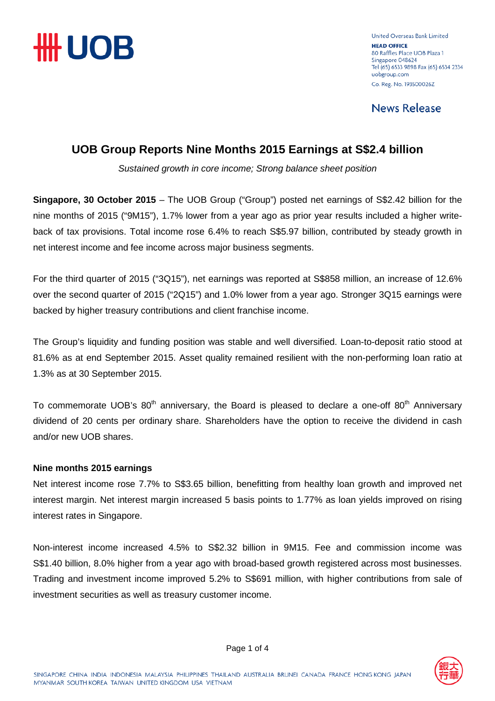

United Overseas Bank Limited **HEAD OFFICE** 80 Raffles Place UOB Plaza 1 Singapore 048624 Tel (65) 6533 9898 Fax (65) 6534 2334 uobgroup.com Co. Reg. No. 193500026Z

**News Release** 

# **UOB Group Reports Nine Months 2015 Earnings at S\$2.4 billion**

*Sustained growth in core income; Strong balance sheet position*

**Singapore, 30 October 2015** – The UOB Group ("Group") posted net earnings of S\$2.42 billion for the nine months of 2015 ("9M15"), 1.7% lower from a year ago as prior year results included a higher writeback of tax provisions. Total income rose 6.4% to reach S\$5.97 billion, contributed by steady growth in net interest income and fee income across major business segments.

For the third quarter of 2015 ("3Q15"), net earnings was reported at S\$858 million, an increase of 12.6% over the second quarter of 2015 ("2Q15") and 1.0% lower from a year ago. Stronger 3Q15 earnings were backed by higher treasury contributions and client franchise income.

The Group's liquidity and funding position was stable and well diversified. Loan-to-deposit ratio stood at 81.6% as at end September 2015. Asset quality remained resilient with the non-performing loan ratio at 1.3% as at 30 September 2015.

To commemorate UOB's  $80<sup>th</sup>$  anniversary, the Board is pleased to declare a one-off  $80<sup>th</sup>$  Anniversary dividend of 20 cents per ordinary share. Shareholders have the option to receive the dividend in cash and/or new UOB shares.

#### **Nine months 2015 earnings**

Net interest income rose 7.7% to S\$3.65 billion, benefitting from healthy loan growth and improved net interest margin. Net interest margin increased 5 basis points to 1.77% as loan yields improved on rising interest rates in Singapore.

Non-interest income increased 4.5% to S\$2.32 billion in 9M15. Fee and commission income was S\$1.40 billion, 8.0% higher from a year ago with broad-based growth registered across most businesses. Trading and investment income improved 5.2% to S\$691 million, with higher contributions from sale of investment securities as well as treasury customer income.

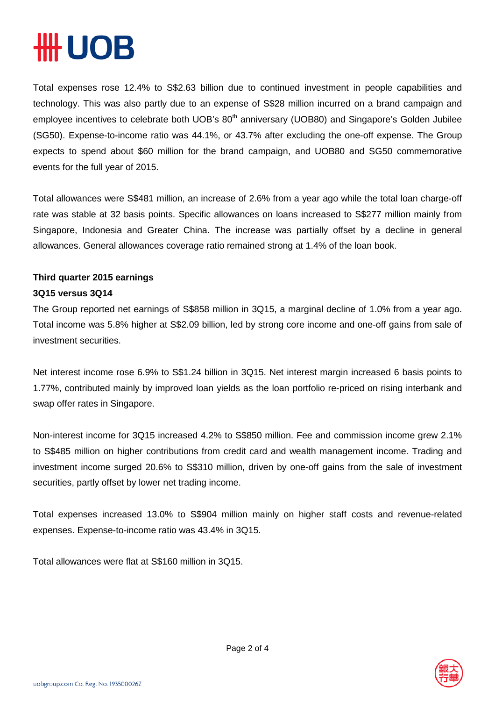# **HUOB**

Total expenses rose 12.4% to S\$2.63 billion due to continued investment in people capabilities and technology. This was also partly due to an expense of S\$28 million incurred on a brand campaign and employee incentives to celebrate both UOB's 80<sup>th</sup> anniversary (UOB80) and Singapore's Golden Jubilee (SG50). Expense-to-income ratio was 44.1%, or 43.7% after excluding the one-off expense. The Group expects to spend about \$60 million for the brand campaign, and UOB80 and SG50 commemorative events for the full year of 2015.

Total allowances were S\$481 million, an increase of 2.6% from a year ago while the total loan charge-off rate was stable at 32 basis points. Specific allowances on loans increased to S\$277 million mainly from Singapore, Indonesia and Greater China. The increase was partially offset by a decline in general allowances. General allowances coverage ratio remained strong at 1.4% of the loan book.

## **Third quarter 2015 earnings**

### **3Q15 versus 3Q14**

The Group reported net earnings of S\$858 million in 3Q15, a marginal decline of 1.0% from a year ago. Total income was 5.8% higher at S\$2.09 billion, led by strong core income and one-off gains from sale of investment securities.

Net interest income rose 6.9% to S\$1.24 billion in 3Q15. Net interest margin increased 6 basis points to 1.77%, contributed mainly by improved loan yields as the loan portfolio re-priced on rising interbank and swap offer rates in Singapore.

Non-interest income for 3Q15 increased 4.2% to S\$850 million. Fee and commission income grew 2.1% to S\$485 million on higher contributions from credit card and wealth management income. Trading and investment income surged 20.6% to S\$310 million, driven by one-off gains from the sale of investment securities, partly offset by lower net trading income.

Total expenses increased 13.0% to S\$904 million mainly on higher staff costs and revenue-related expenses. Expense-to-income ratio was 43.4% in 3Q15.

Total allowances were flat at S\$160 million in 3Q15.

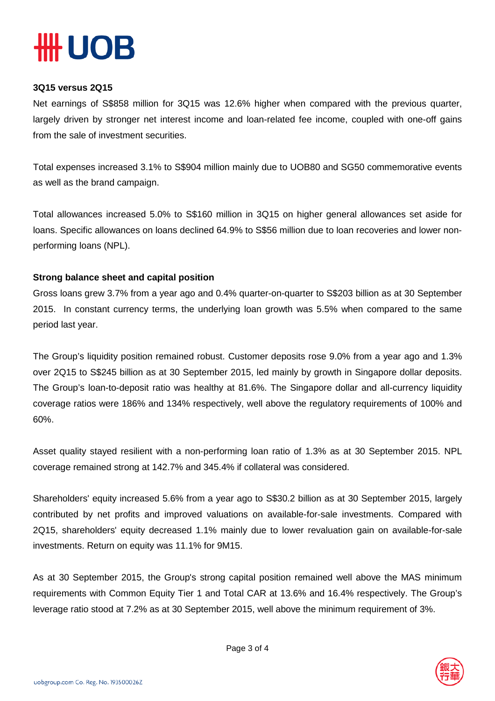

#### **3Q15 versus 2Q15**

Net earnings of S\$858 million for 3Q15 was 12.6% higher when compared with the previous quarter, largely driven by stronger net interest income and loan-related fee income, coupled with one-off gains from the sale of investment securities.

Total expenses increased 3.1% to S\$904 million mainly due to UOB80 and SG50 commemorative events as well as the brand campaign.

Total allowances increased 5.0% to S\$160 million in 3Q15 on higher general allowances set aside for loans. Specific allowances on loans declined 64.9% to S\$56 million due to loan recoveries and lower nonperforming loans (NPL).

#### **Strong balance sheet and capital position**

Gross loans grew 3.7% from a year ago and 0.4% quarter-on-quarter to S\$203 billion as at 30 September 2015. In constant currency terms, the underlying loan growth was 5.5% when compared to the same period last year.

The Group's liquidity position remained robust. Customer deposits rose 9.0% from a year ago and 1.3% over 2Q15 to S\$245 billion as at 30 September 2015, led mainly by growth in Singapore dollar deposits. The Group's loan-to-deposit ratio was healthy at 81.6%. The Singapore dollar and all-currency liquidity coverage ratios were 186% and 134% respectively, well above the regulatory requirements of 100% and 60%.

Asset quality stayed resilient with a non-performing loan ratio of 1.3% as at 30 September 2015. NPL coverage remained strong at 142.7% and 345.4% if collateral was considered.

Shareholders' equity increased 5.6% from a year ago to S\$30.2 billion as at 30 September 2015, largely contributed by net profits and improved valuations on available-for-sale investments. Compared with 2Q15, shareholders' equity decreased 1.1% mainly due to lower revaluation gain on available-for-sale investments. Return on equity was 11.1% for 9M15.

As at 30 September 2015, the Group's strong capital position remained well above the MAS minimum requirements with Common Equity Tier 1 and Total CAR at 13.6% and 16.4% respectively. The Group's leverage ratio stood at 7.2% as at 30 September 2015, well above the minimum requirement of 3%.